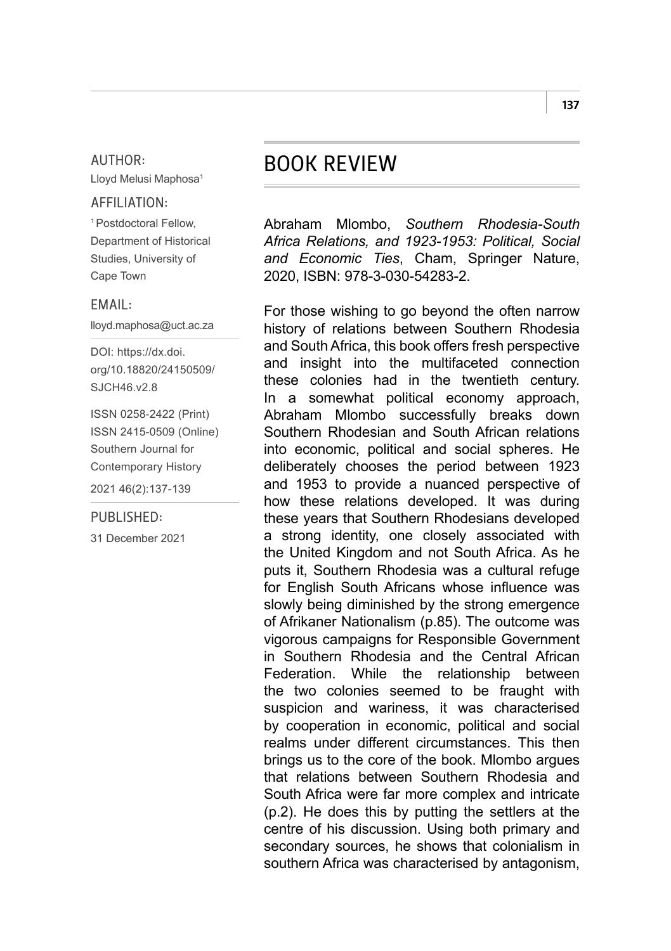### AUTHOR:

Lloyd Melusi Maphosa1

# AFFILIATION:

1 Postdoctoral Fellow, Department of Historical Studies, University of Cape Town

## EMAIL:

[lloyd.maphosa@uct.ac.za](mailto:lloyd.maphosa%40uct.ac.za?subject=)

DOI: [https://dx.doi.](https://dx.doi.org/10.18820/24150509/SJCH46.v2.8) [org/10.18820/24150509/](https://dx.doi.org/10.18820/24150509/SJCH46.v2.8) SJCH<sub>46</sub> v<sub>2</sub>.8

ISSN 0258-2422 (Print) ISSN 2415-0509 (Online) Southern Journal for Contemporary History 2021 46(2):137-139

### PUBLISHED:

31 December 2021

# BOOK REVIEW

Abraham Mlombo, *Southern Rhodesia-South Africa Relations, and 1923-1953: Political, Social and Economic Ties*, Cham, Springer Nature, 2020, ISBN: 978-3-030-54283-2.

For those wishing to go beyond the often narrow history of relations between Southern Rhodesia and South Africa, this book offers fresh perspective and insight into the multifaceted connection these colonies had in the twentieth century. In a somewhat political economy approach, Abraham Mlombo successfully breaks down Southern Rhodesian and South African relations into economic, political and social spheres. He deliberately chooses the period between 1923 and 1953 to provide a nuanced perspective of how these relations developed. It was during these years that Southern Rhodesians developed a strong identity, one closely associated with the United Kingdom and not South Africa. As he puts it, Southern Rhodesia was a cultural refuge for English South Africans whose influence was slowly being diminished by the strong emergence of Afrikaner Nationalism (p.85). The outcome was vigorous campaigns for Responsible Government in Southern Rhodesia and the Central African Federation. While the relationship between the two colonies seemed to be fraught with suspicion and wariness, it was characterised by cooperation in economic, political and social realms under different circumstances. This then brings us to the core of the book. Mlombo argues that relations between Southern Rhodesia and South Africa were far more complex and intricate (p.2). He does this by putting the settlers at the centre of his discussion. Using both primary and secondary sources, he shows that colonialism in southern Africa was characterised by antagonism,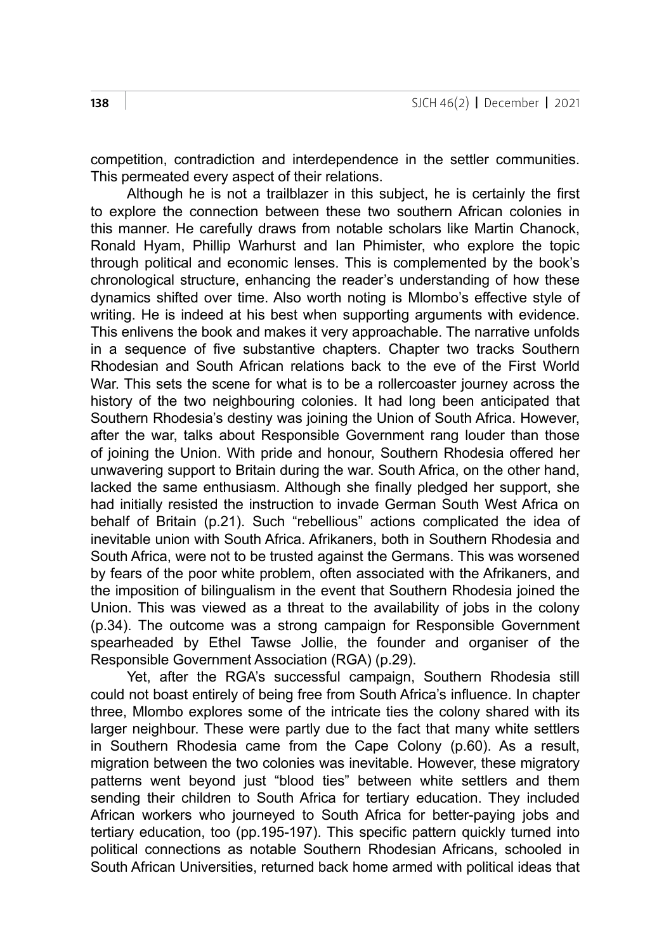competition, contradiction and interdependence in the settler communities. This permeated every aspect of their relations.

Although he is not a trailblazer in this subject, he is certainly the first to explore the connection between these two southern African colonies in this manner. He carefully draws from notable scholars like Martin Chanock, Ronald Hyam, Phillip Warhurst and Ian Phimister, who explore the topic through political and economic lenses. This is complemented by the book's chronological structure, enhancing the reader's understanding of how these dynamics shifted over time. Also worth noting is Mlombo's effective style of writing. He is indeed at his best when supporting arguments with evidence. This enlivens the book and makes it very approachable. The narrative unfolds in a sequence of five substantive chapters. Chapter two tracks Southern Rhodesian and South African relations back to the eve of the First World War. This sets the scene for what is to be a rollercoaster journey across the history of the two neighbouring colonies. It had long been anticipated that Southern Rhodesia's destiny was joining the Union of South Africa. However, after the war, talks about Responsible Government rang louder than those of joining the Union. With pride and honour, Southern Rhodesia offered her unwavering support to Britain during the war. South Africa, on the other hand, lacked the same enthusiasm. Although she finally pledged her support, she had initially resisted the instruction to invade German South West Africa on behalf of Britain (p.21). Such "rebellious" actions complicated the idea of inevitable union with South Africa. Afrikaners, both in Southern Rhodesia and South Africa, were not to be trusted against the Germans. This was worsened by fears of the poor white problem, often associated with the Afrikaners, and the imposition of bilingualism in the event that Southern Rhodesia joined the Union. This was viewed as a threat to the availability of jobs in the colony (p.34). The outcome was a strong campaign for Responsible Government spearheaded by Ethel Tawse Jollie, the founder and organiser of the Responsible Government Association (RGA) (p.29).

Yet, after the RGA's successful campaign, Southern Rhodesia still could not boast entirely of being free from South Africa's influence. In chapter three, Mlombo explores some of the intricate ties the colony shared with its larger neighbour. These were partly due to the fact that many white settlers in Southern Rhodesia came from the Cape Colony (p.60). As a result, migration between the two colonies was inevitable. However, these migratory patterns went beyond just "blood ties" between white settlers and them sending their children to South Africa for tertiary education. They included African workers who journeyed to South Africa for better-paying jobs and tertiary education, too (pp.195-197). This specific pattern quickly turned into political connections as notable Southern Rhodesian Africans, schooled in South African Universities, returned back home armed with political ideas that